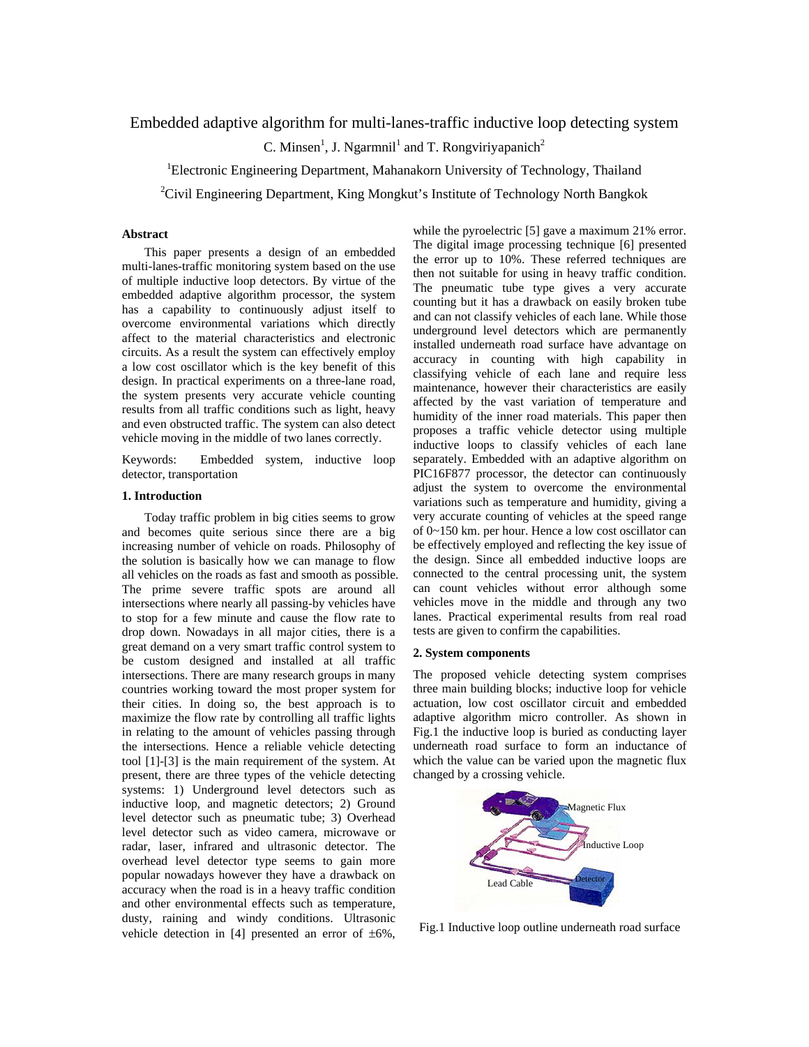# Embedded adaptive algorithm for multi-lanes-traffic inductive loop detecting system

C. Minsen<sup>1</sup>, J. Ngarmnil<sup>1</sup> and T. Rongviriyapanich<sup>2</sup>

<sup>1</sup>Electronic Engineering Department, Mahanakorn University of Technology, Thailand

<sup>2</sup>Civil Engineering Department, King Mongkut's Institute of Technology North Bangkok

## **Abstract**

 This paper presents a design of an embedded multi-lanes-traffic monitoring system based on the use of multiple inductive loop detectors. By virtue of the embedded adaptive algorithm processor, the system has a capability to continuously adjust itself to overcome environmental variations which directly affect to the material characteristics and electronic circuits. As a result the system can effectively employ a low cost oscillator which is the key benefit of this design. In practical experiments on a three-lane road, the system presents very accurate vehicle counting results from all traffic conditions such as light, heavy and even obstructed traffic. The system can also detect vehicle moving in the middle of two lanes correctly.

Keywords: Embedded system, inductive loop detector, transportation

#### **1. Introduction**

 Today traffic problem in big cities seems to grow and becomes quite serious since there are a big increasing number of vehicle on roads. Philosophy of the solution is basically how we can manage to flow all vehicles on the roads as fast and smooth as possible. The prime severe traffic spots are around all intersections where nearly all passing-by vehicles have to stop for a few minute and cause the flow rate to drop down. Nowadays in all major cities, there is a great demand on a very smart traffic control system to be custom designed and installed at all traffic intersections. There are many research groups in many countries working toward the most proper system for their cities. In doing so, the best approach is to maximize the flow rate by controlling all traffic lights in relating to the amount of vehicles passing through the intersections. Hence a reliable vehicle detecting tool [1]-[3] is the main requirement of the system. At present, there are three types of the vehicle detecting systems: 1) Underground level detectors such as inductive loop, and magnetic detectors; 2) Ground level detector such as pneumatic tube; 3) Overhead level detector such as video camera, microwave or radar, laser, infrared and ultrasonic detector. The overhead level detector type seems to gain more popular nowadays however they have a drawback on accuracy when the road is in a heavy traffic condition and other environmental effects such as temperature, dusty, raining and windy conditions. Ultrasonic vehicle detection in [4] presented an error of  $\pm 6\%$ ,

while the pyroelectric [5] gave a maximum 21% error. The digital image processing technique [6] presented the error up to 10%. These referred techniques are then not suitable for using in heavy traffic condition. The pneumatic tube type gives a very accurate counting but it has a drawback on easily broken tube and can not classify vehicles of each lane. While those underground level detectors which are permanently installed underneath road surface have advantage on accuracy in counting with high capability in classifying vehicle of each lane and require less maintenance, however their characteristics are easily affected by the vast variation of temperature and humidity of the inner road materials. This paper then proposes a traffic vehicle detector using multiple inductive loops to classify vehicles of each lane separately. Embedded with an adaptive algorithm on PIC16F877 processor, the detector can continuously adjust the system to overcome the environmental variations such as temperature and humidity, giving a very accurate counting of vehicles at the speed range of 0~150 km. per hour. Hence a low cost oscillator can be effectively employed and reflecting the key issue of the design. Since all embedded inductive loops are connected to the central processing unit, the system can count vehicles without error although some vehicles move in the middle and through any two lanes. Practical experimental results from real road tests are given to confirm the capabilities.

### **2. System components**

The proposed vehicle detecting system comprises three main building blocks; inductive loop for vehicle actuation, low cost oscillator circuit and embedded adaptive algorithm micro controller. As shown in Fig.1 the inductive loop is buried as conducting layer underneath road surface to form an inductance of which the value can be varied upon the magnetic flux changed by a crossing vehicle.



Fig.1 Inductive loop outline underneath road surface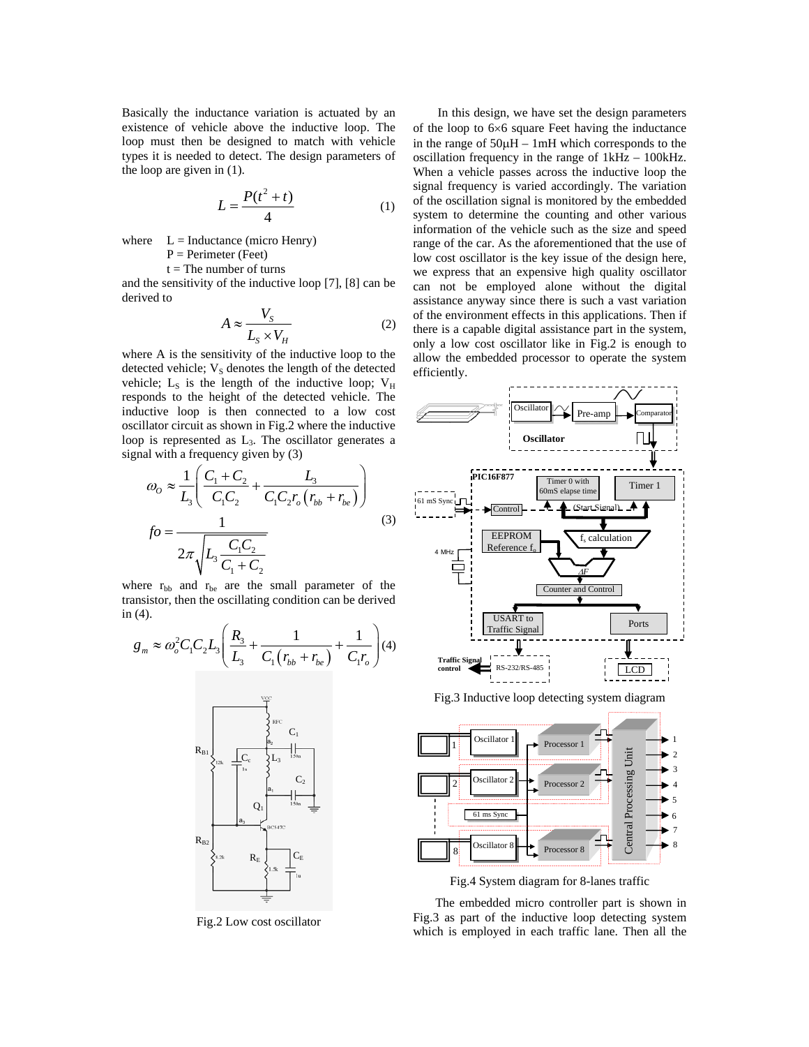Basically the inductance variation is actuated by an existence of vehicle above the inductive loop. The loop must then be designed to match with vehicle types it is needed to detect. The design parameters of the loop are given in (1).

$$
L = \frac{P(t^2 + t)}{4} \tag{1}
$$

where  $L = Inductance (micro Henry)$  $P = Perimeter (Fect)$ 

 $t =$ The number of turns

and the sensitivity of the inductive loop [7], [8] can be derived to

$$
A \approx \frac{V_S}{L_S \times V_H} \tag{2}
$$

where A is the sensitivity of the inductive loop to the detected vehicle;  $V<sub>S</sub>$  denotes the length of the detected vehicle;  $L<sub>S</sub>$  is the length of the inductive loop;  $V<sub>H</sub>$ responds to the height of the detected vehicle. The inductive loop is then connected to a low cost oscillator circuit as shown in Fig.2 where the inductive loop is represented as  $L<sub>3</sub>$ . The oscillator generates a signal with a frequency given by (3)

$$
\omega_o \approx \frac{1}{L_3} \left( \frac{C_1 + C_2}{C_1 C_2} + \frac{L_3}{C_1 C_2 r_o (r_{bb} + r_{be})} \right)
$$
  

$$
fo = \frac{1}{2\pi \sqrt{L_3 \frac{C_1 C_2}{C_1 + C_2}}}
$$
(3)

where  $r_{bb}$  and  $r_{be}$  are the small parameter of the transistor, then the oscillating condition can be derived in (4).

$$
g_m \approx \omega_o^2 C_1 C_2 L_3 \left( \frac{R_3}{L_3} + \frac{1}{C_1 (r_{bb} + r_{be})} + \frac{1}{C_1 r_o} \right) (4)
$$



Fig.2 Low cost oscillator

 In this design, we have set the design parameters of the loop to 6×6 square Feet having the inductance in the range of 50μH – 1mH which corresponds to the oscillation frequency in the range of 1kHz – 100kHz. When a vehicle passes across the inductive loop the signal frequency is varied accordingly. The variation of the oscillation signal is monitored by the embedded system to determine the counting and other various information of the vehicle such as the size and speed range of the car. As the aforementioned that the use of low cost oscillator is the key issue of the design here, we express that an expensive high quality oscillator can not be employed alone without the digital assistance anyway since there is such a vast variation of the environment effects in this applications. Then if there is a capable digital assistance part in the system, only a low cost oscillator like in Fig.2 is enough to allow the embedded processor to operate the system efficiently.





Fig.4 System diagram for 8-lanes traffic

 The embedded micro controller part is shown in Fig.3 as part of the inductive loop detecting system which is employed in each traffic lane. Then all the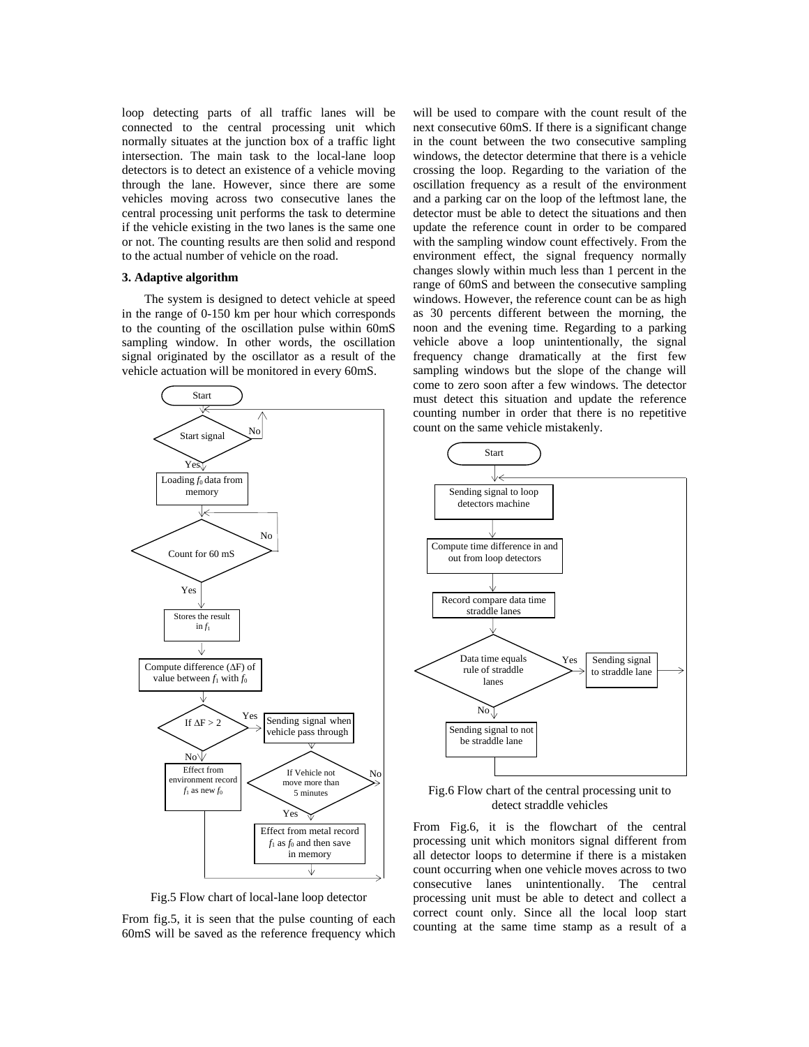loop detecting parts of all traffic lanes will be connected to the central processing unit which normally situates at the junction box of a traffic light intersection. The main task to the local-lane loop detectors is to detect an existence of a vehicle moving through the lane. However, since there are some vehicles moving across two consecutive lanes the central processing unit performs the task to determine if the vehicle existing in the two lanes is the same one or not. The counting results are then solid and respond to the actual number of vehicle on the road.

### **3. Adaptive algorithm**

 The system is designed to detect vehicle at speed in the range of 0-150 km per hour which corresponds to the counting of the oscillation pulse within 60mS sampling window. In other words, the oscillation signal originated by the oscillator as a result of the vehicle actuation will be monitored in every 60mS.



Fig.5 Flow chart of local-lane loop detector

From fig.5, it is seen that the pulse counting of each 60mS will be saved as the reference frequency which will be used to compare with the count result of the next consecutive 60mS. If there is a significant change in the count between the two consecutive sampling windows, the detector determine that there is a vehicle crossing the loop. Regarding to the variation of the oscillation frequency as a result of the environment and a parking car on the loop of the leftmost lane, the detector must be able to detect the situations and then update the reference count in order to be compared with the sampling window count effectively. From the environment effect, the signal frequency normally changes slowly within much less than 1 percent in the range of 60mS and between the consecutive sampling windows. However, the reference count can be as high as 30 percents different between the morning, the noon and the evening time. Regarding to a parking vehicle above a loop unintentionally, the signal frequency change dramatically at the first few sampling windows but the slope of the change will come to zero soon after a few windows. The detector must detect this situation and update the reference counting number in order that there is no repetitive count on the same vehicle mistakenly.



Fig.6 Flow chart of the central processing unit to detect straddle vehicles

From Fig.6, it is the flowchart of the central processing unit which monitors signal different from all detector loops to determine if there is a mistaken count occurring when one vehicle moves across to two consecutive lanes unintentionally. The central processing unit must be able to detect and collect a correct count only. Since all the local loop start counting at the same time stamp as a result of a